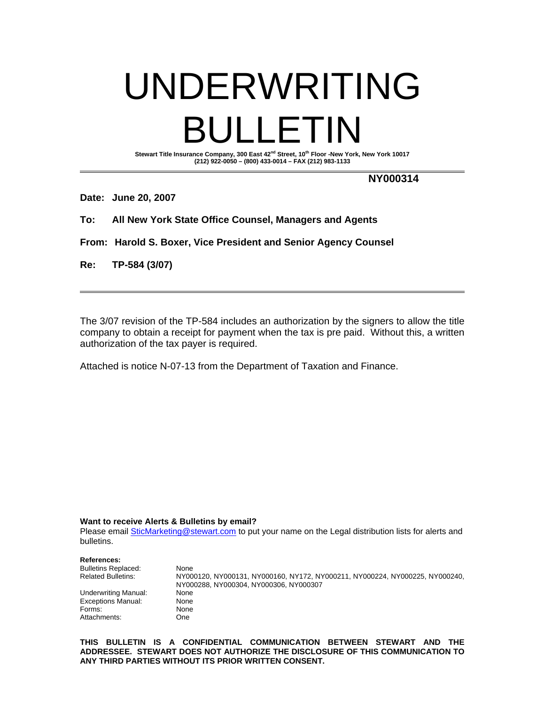## UNDERWRITING BULLETIN Stewart Title Insurance Company, 300 East 42<sup>nd</sup> Street, 10<sup>th</sup> Floor -New York, New York 10017

**(212) 922-0050 – (800) 433-0014 – FAX (212) 983-1133** 

 **NY000314** 

**Date: June 20, 2007** 

**To: All New York State Office Counsel, Managers and Agents** 

**From: Harold S. Boxer, Vice President and Senior Agency Counsel** 

**Re: TP-584 (3/07)** 

The 3/07 revision of the TP-584 includes an authorization by the signers to allow the title company to obtain a receipt for payment when the tax is pre paid. Without this, a written authorization of the tax payer is required.

Attached is notice N-07-13 from the Department of Taxation and Finance.

**Want to receive Alerts & Bulletins by email?** 

Please email SticMarketing@stewart.com to put your name on the Legal distribution lists for alerts and bulletins.

| <b>References:</b>         |                                                                              |
|----------------------------|------------------------------------------------------------------------------|
| <b>Bulletins Replaced:</b> | None                                                                         |
| <b>Related Bulletins:</b>  | NY000120, NY000131, NY000160, NY172, NY000211, NY000224, NY000225, NY000240, |
|                            | NY000288. NY000304. NY000306. NY000307                                       |
| Underwriting Manual:       | None                                                                         |
| <b>Exceptions Manual:</b>  | None                                                                         |
| Forms:                     | None                                                                         |
| Attachments:               | One                                                                          |

**THIS BULLETIN IS A CONFIDENTIAL COMMUNICATION BETWEEN STEWART AND THE ADDRESSEE. STEWART DOES NOT AUTHORIZE THE DISCLOSURE OF THIS COMMUNICATION TO ANY THIRD PARTIES WITHOUT ITS PRIOR WRITTEN CONSENT.**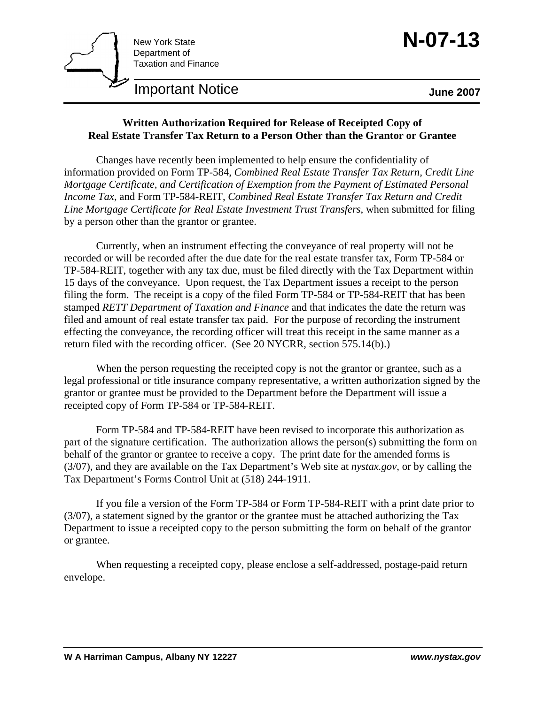

## **Important Notice**  June 2007

## **Written Authorization Required for Release of Receipted Copy of Real Estate Transfer Tax Return to a Person Other than the Grantor or Grantee**

 Changes have recently been implemented to help ensure the confidentiality of information provided on Form TP-584, *Combined Real Estate Transfer Tax Return, Credit Line Mortgage Certificate, and Certification of Exemption from the Payment of Estimated Personal Income Tax*, and Form TP-584-REIT, *Combined Real Estate Transfer Tax Return and Credit Line Mortgage Certificate for Real Estate Investment Trust Transfers*, when submitted for filing by a person other than the grantor or grantee.

 Currently, when an instrument effecting the conveyance of real property will not be recorded or will be recorded after the due date for the real estate transfer tax, Form TP-584 or TP-584-REIT, together with any tax due, must be filed directly with the Tax Department within 15 days of the conveyance. Upon request, the Tax Department issues a receipt to the person filing the form. The receipt is a copy of the filed Form TP-584 or TP-584-REIT that has been stamped *RETT Department of Taxation and Finance* and that indicates the date the return was filed and amount of real estate transfer tax paid. For the purpose of recording the instrument effecting the conveyance, the recording officer will treat this receipt in the same manner as a return filed with the recording officer. (See 20 NYCRR, section 575.14(b).)

When the person requesting the receipted copy is not the grantor or grantee, such as a legal professional or title insurance company representative, a written authorization signed by the grantor or grantee must be provided to the Department before the Department will issue a receipted copy of Form TP-584 or TP-584-REIT.

 Form TP-584 and TP-584-REIT have been revised to incorporate this authorization as part of the signature certification. The authorization allows the person(s) submitting the form on behalf of the grantor or grantee to receive a copy. The print date for the amended forms is (3/07), and they are available on the Tax Department's Web site at *nystax.gov*, or by calling the Tax Department's Forms Control Unit at (518) 244-1911.

 If you file a version of the Form TP-584 or Form TP-584-REIT with a print date prior to (3/07), a statement signed by the grantor or the grantee must be attached authorizing the Tax Department to issue a receipted copy to the person submitting the form on behalf of the grantor or grantee.

 When requesting a receipted copy, please enclose a self-addressed, postage-paid return envelope.